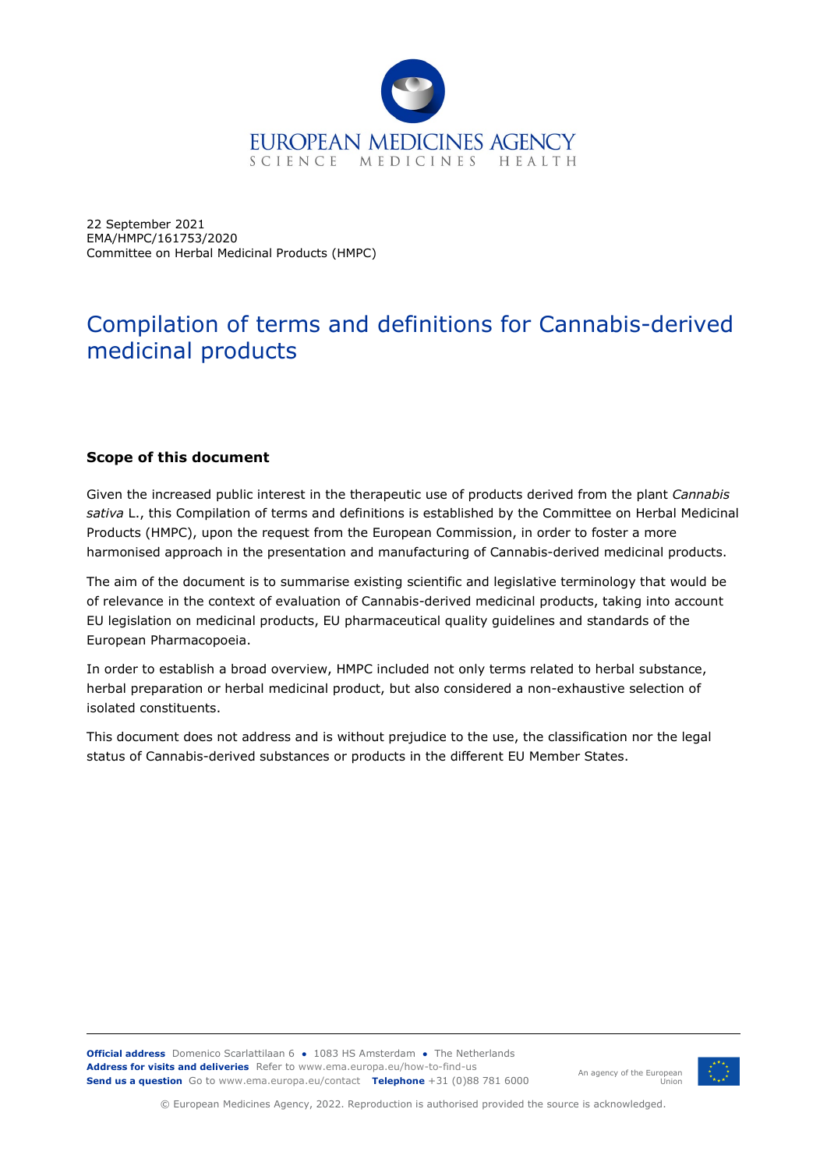

22 September 2021 EMA/HMPC/161753/2020 Committee on Herbal Medicinal Products (HMPC)

# Compilation of terms and definitions for Cannabis-derived medicinal products

#### **Scope of this document**

Given the increased public interest in the therapeutic use of products derived from the plant *Cannabis sativa* L., this Compilation of terms and definitions is established by the Committee on Herbal Medicinal Products (HMPC), upon the request from the European Commission, in order to foster a more harmonised approach in the presentation and manufacturing of Cannabis-derived medicinal products.

The aim of the document is to summarise existing scientific and legislative terminology that would be of relevance in the context of evaluation of Cannabis-derived medicinal products, taking into account EU legislation on medicinal products, EU pharmaceutical quality guidelines and standards of the European Pharmacopoeia.

In order to establish a broad overview, HMPC included not only terms related to herbal substance, herbal preparation or herbal medicinal product, but also considered a non-exhaustive selection of isolated constituents.

This document does not address and is without prejudice to the use, the classification nor the legal status of Cannabis-derived substances or products in the different EU Member States.

**Official address** Domenico Scarlattilaan 6 **●** 1083 HS Amsterdam **●** The Netherlands **Address for visits and deliveries** Refer to www.ema.europa.eu/how-to-find-us **Send us a question** Go to www.ema.europa.eu/contact **Telephone** +31 (0)88 781 6000



An agency of the European

Union

© European Medicines Agency, 2022. Reproduction is authorised provided the source is acknowledged.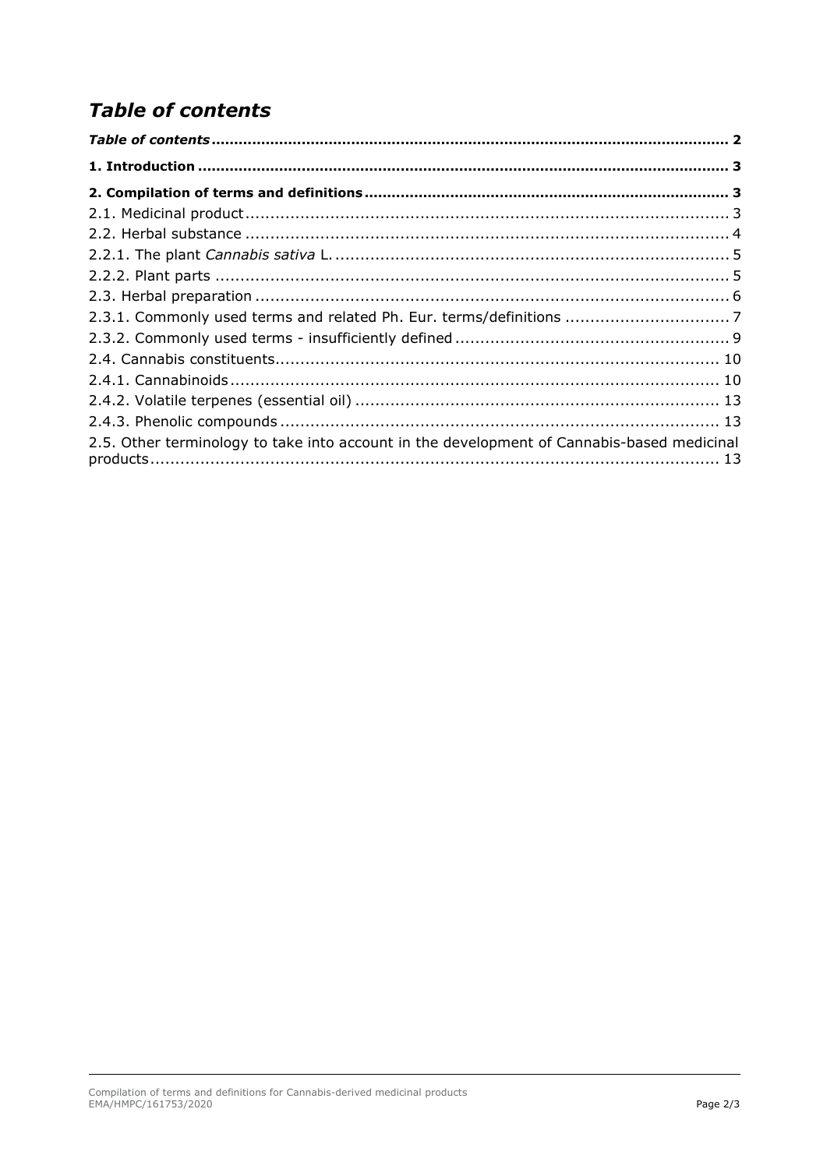# <span id="page-1-0"></span>**Table of contents**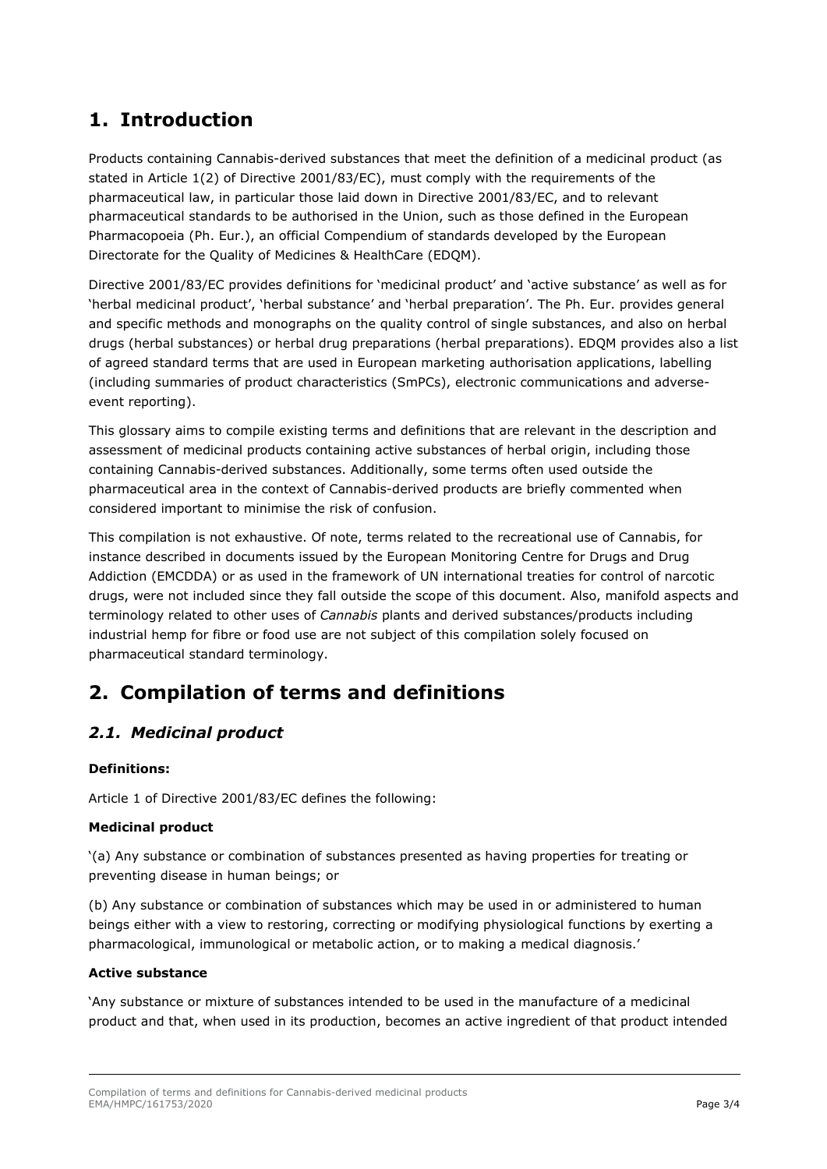## <span id="page-2-0"></span>**1. Introduction**

Products containing Cannabis-derived substances that meet the definition of a medicinal product (as stated in Article 1(2) of Directive 2001/83/EC), must comply with the requirements of the pharmaceutical law, in particular those laid down in Directive 2001/83/EC, and to relevant pharmaceutical standards to be authorised in the Union, such as those defined in the European Pharmacopoeia (Ph. Eur.), an official Compendium of standards developed by the European Directorate for the Quality of Medicines & HealthCare (EDQM).

Directive 2001/83/EC provides definitions for 'medicinal product' and 'active substance' as well as for 'herbal medicinal product', 'herbal substance' and 'herbal preparation'. The Ph. Eur. provides general and specific methods and monographs on the quality control of single substances, and also on herbal drugs (herbal substances) or herbal drug preparations (herbal preparations). EDQM provides also a list of agreed standard terms that are used in European marketing authorisation applications, labelling (including summaries of product characteristics (SmPCs), electronic communications and adverseevent reporting).

This glossary aims to compile existing terms and definitions that are relevant in the description and assessment of medicinal products containing active substances of herbal origin, including those containing Cannabis-derived substances. Additionally, some terms often used outside the pharmaceutical area in the context of Cannabis-derived products are briefly commented when considered important to minimise the risk of confusion.

This compilation is not exhaustive. Of note, terms related to the recreational use of Cannabis, for instance described in documents issued by the European Monitoring Centre for Drugs and Drug Addiction (EMCDDA) or as used in the framework of UN international treaties for control of narcotic drugs, were not included since they fall outside the scope of this document. Also, manifold aspects and terminology related to other uses of *Cannabis* plants and derived substances/products including industrial hemp for fibre or food use are not subject of this compilation solely focused on pharmaceutical standard terminology.

## <span id="page-2-1"></span>**2. Compilation of terms and definitions**

## <span id="page-2-2"></span>*2.1. Medicinal product*

#### **Definitions:**

Article 1 of Directive 2001/83/EC defines the following:

#### **Medicinal product**

'(a) Any substance or combination of substances presented as having properties for treating or preventing disease in human beings; or

(b) Any substance or combination of substances which may be used in or administered to human beings either with a view to restoring, correcting or modifying physiological functions by exerting a pharmacological, immunological or metabolic action, or to making a medical diagnosis.'

#### **Active substance**

'Any substance or mixture of substances intended to be used in the manufacture of a medicinal product and that, when used in its production, becomes an active ingredient of that product intended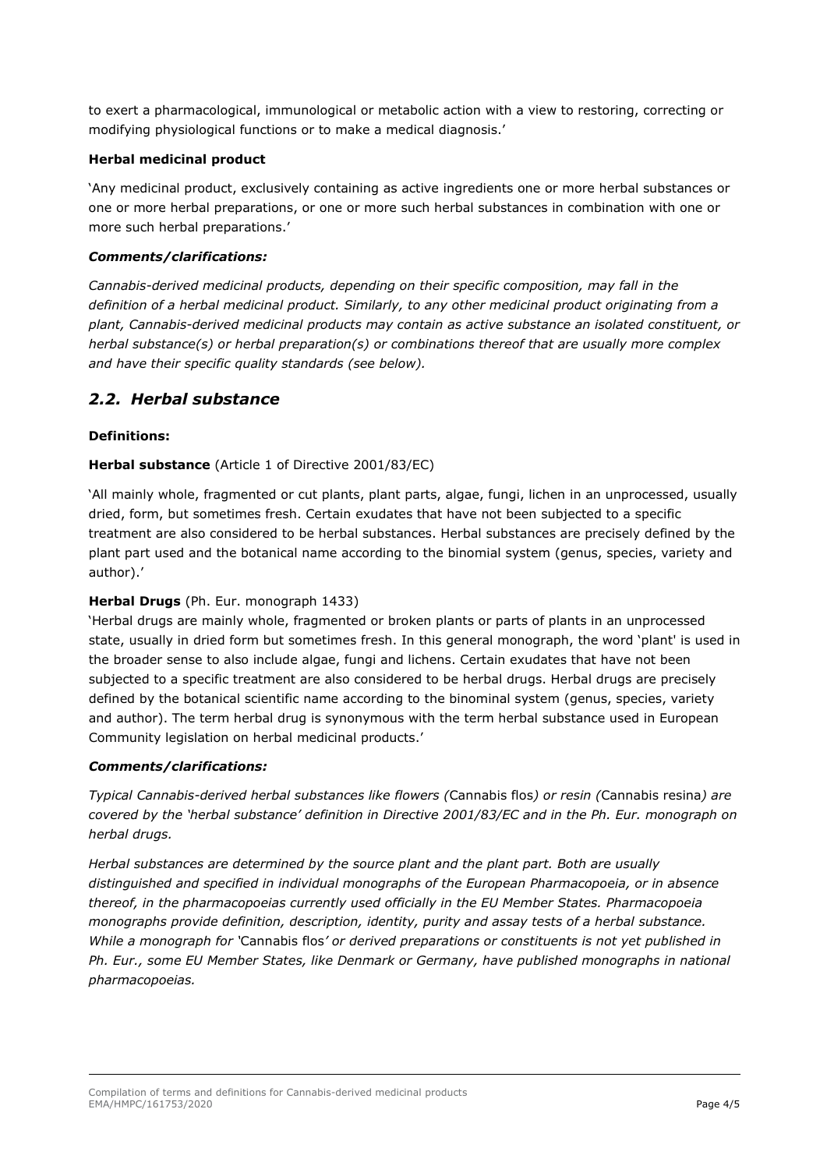to exert a pharmacological, immunological or metabolic action with a view to restoring, correcting or modifying physiological functions or to make a medical diagnosis.'

#### **Herbal medicinal product**

'Any medicinal product, exclusively containing as active ingredients one or more herbal substances or one or more herbal preparations, or one or more such herbal substances in combination with one or more such herbal preparations.'

#### *Comments/clarifications:*

*Cannabis-derived medicinal products, depending on their specific composition, may fall in the definition of a herbal medicinal product. Similarly, to any other medicinal product originating from a plant, Cannabis-derived medicinal products may contain as active substance an isolated constituent, or herbal substance(s) or herbal preparation(s) or combinations thereof that are usually more complex and have their specific quality standards (see below).*

### <span id="page-3-0"></span>*2.2. Herbal substance*

#### **Definitions:**

#### **Herbal substance** (Article 1 of Directive 2001/83/EC)

'All mainly whole, fragmented or cut plants, plant parts, algae, fungi, lichen in an unprocessed, usually dried, form, but sometimes fresh. Certain exudates that have not been subjected to a specific treatment are also considered to be herbal substances. Herbal substances are precisely defined by the plant part used and the botanical name according to the binomial system (genus, species, variety and author).'

#### **Herbal Drugs** (Ph. Eur. monograph 1433)

'Herbal drugs are mainly whole, fragmented or broken plants or parts of plants in an unprocessed state, usually in dried form but sometimes fresh. In this general monograph, the word 'plant' is used in the broader sense to also include algae, fungi and lichens. Certain exudates that have not been subjected to a specific treatment are also considered to be herbal drugs. Herbal drugs are precisely defined by the botanical scientific name according to the binominal system (genus, species, variety and author). The term herbal drug is synonymous with the term herbal substance used in European Community legislation on herbal medicinal products.'

#### *Comments/clarifications:*

*Typical Cannabis-derived herbal substances like flowers (*Cannabis flos*) or resin (*Cannabis resina*) are covered by the 'herbal substance' definition in Directive 2001/83/EC and in the Ph. Eur. monograph on herbal drugs.* 

*Herbal substances are determined by the source plant and the plant part. Both are usually distinguished and specified in individual monographs of the European Pharmacopoeia, or in absence thereof, in the pharmacopoeias currently used officially in the EU Member States. Pharmacopoeia monographs provide definition, description, identity, purity and assay tests of a herbal substance. While a monograph for '*Cannabis flos*' or derived preparations or constituents is not yet published in*  Ph. Eur., some EU Member States, like Denmark or Germany, have published monographs in national *pharmacopoeias.*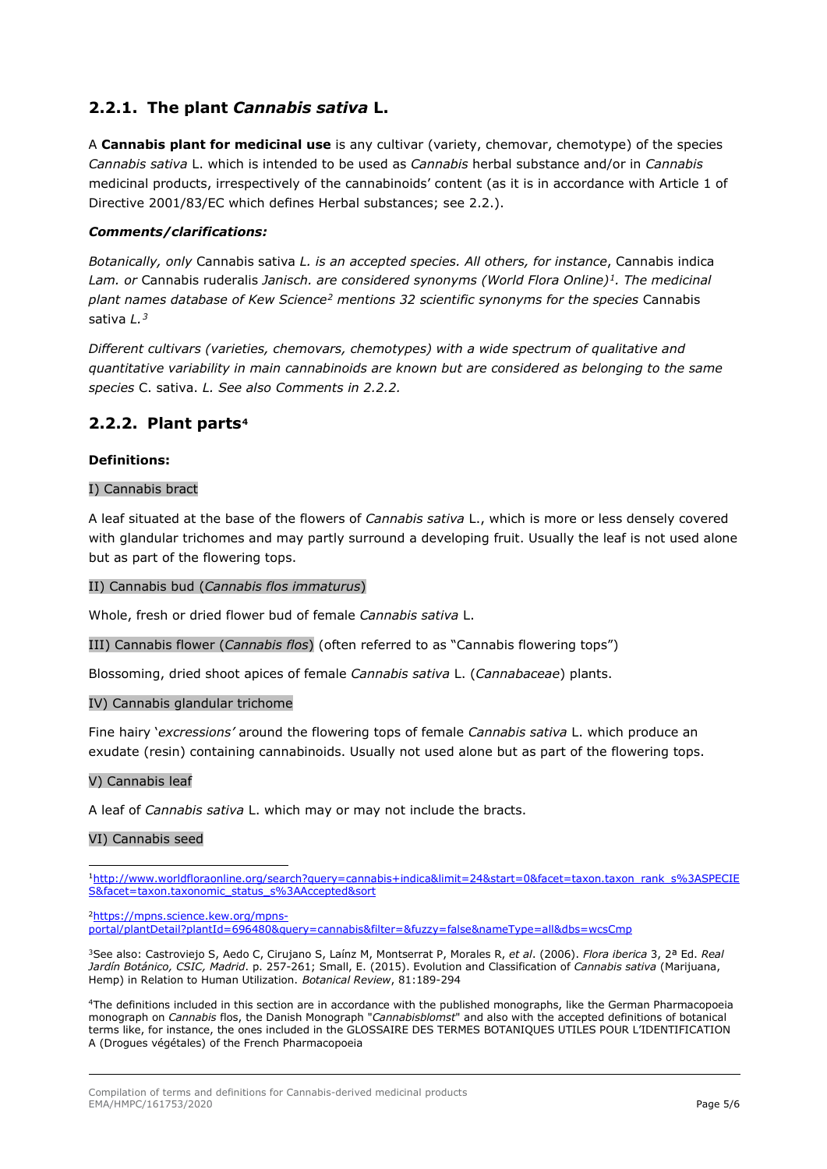## <span id="page-4-0"></span>**2.2.1. The plant** *Cannabis sativa* **L.**

A **Cannabis plant for medicinal use** is any cultivar (variety, chemovar, chemotype) of the species *Cannabis sativa* L. which is intended to be used as *Cannabis* herbal substance and/or in *Cannabis* medicinal products, irrespectively of the cannabinoids' content (as it is in accordance with Article 1 of Directive 2001/83/EC which defines Herbal substances; see 2.2.).

#### *Comments/clarifications:*

*Botanically, only* Cannabis sativa *L. is an accepted species. All others, for instance*, Cannabis indica *Lam. or* Cannabis ruderalis *Janisch. are considered synonyms (World Flora Online)[1.](#page-4-2) The medicinal plant names database of Kew Science[2](#page-4-3) mentions 32 scientific synonyms for the species* Cannabis sativa *L.[3](#page-4-4)*

*Different cultivars (varieties, chemovars, chemotypes) with a wide spectrum of qualitative and quantitative variability in main cannabinoids are known but are considered as belonging to the same species* C. sativa. *L. See also Comments in 2.2.2.*

## <span id="page-4-1"></span>**2.2.2. Plant parts[4](#page-4-5)**

#### **Definitions:**

#### I) Cannabis bract

A leaf situated at the base of the flowers of *Cannabis sativa* L., which is more or less densely covered with glandular trichomes and may partly surround a developing fruit. Usually the leaf is not used alone but as part of the flowering tops.

#### II) Cannabis bud (*Cannabis flos immaturus*)

Whole, fresh or dried flower bud of female *Cannabis sativa* L.

III) Cannabis flower (*Cannabis flos*) (often referred to as "Cannabis flowering tops")

Blossoming, dried shoot apices of female *Cannabis sativa* L. (*Cannabaceae*) plants.

#### IV) Cannabis glandular trichome

Fine hairy '*excressions'* around the flowering tops of female *Cannabis sativa* L. which produce an exudate (resin) containing cannabinoids. Usually not used alone but as part of the flowering tops.

#### V) Cannabis leaf

A leaf of *Cannabis sativa* L. which may or may not include the bracts.

#### VI) Cannabis seed

<span id="page-4-3"></span>[2https://mpns.science.kew.org/mpns-](https://mpns.science.kew.org/mpns-portal/plantDetail?plantId=696480&query=cannabis&filter=&fuzzy=false&nameType=all&dbs=wcsCmp)

[portal/plantDetail?plantId=696480&query=cannabis&filter=&fuzzy=false&nameType=all&dbs=wcsCmp](https://mpns.science.kew.org/mpns-portal/plantDetail?plantId=696480&query=cannabis&filter=&fuzzy=false&nameType=all&dbs=wcsCmp)

<span id="page-4-4"></span>3See also: Castroviejo S, Aedo C, Cirujano S, Laínz M, Montserrat P, Morales R, *et al*. (2006). *Flora iberica* 3, 2ª Ed. *Real Jardín Botánico, CSIC, Madrid*. p. 257-261; Small, E. (2015). Evolution and Classification of *Cannabis sativa* (Marijuana, Hemp) in Relation to Human Utilization. *Botanical Review*, 81:189-294

<span id="page-4-5"></span>4The definitions included in this section are in accordance with the published monographs, like the German Pharmacopoeia monograph on *Cannabis* flos, the Danish Monograph "*Cannabisblomst*" and also with the accepted definitions of botanical terms like, for instance, the ones included in the GLOSSAIRE DES TERMES BOTANIQUES UTILES POUR L'IDENTIFICATION A (Drogues végétales) of the French Pharmacopoeia

<span id="page-4-2"></span>[<sup>1</sup>http://www.worldfloraonline.org/search?query=cannabis+indica&limit=24&start=0&facet=taxon.taxon\\_rank\\_s%3ASPECIE](http://www.worldfloraonline.org/search?query=cannabis+indica&limit=24&start=0&facet=taxon.taxon_rank_s%3ASPECIES&facet=taxon.taxonomic_status_s%3AAccepted&sort) [S&facet=taxon.taxonomic\\_status\\_s%3AAccepted&sort](http://www.worldfloraonline.org/search?query=cannabis+indica&limit=24&start=0&facet=taxon.taxon_rank_s%3ASPECIES&facet=taxon.taxonomic_status_s%3AAccepted&sort)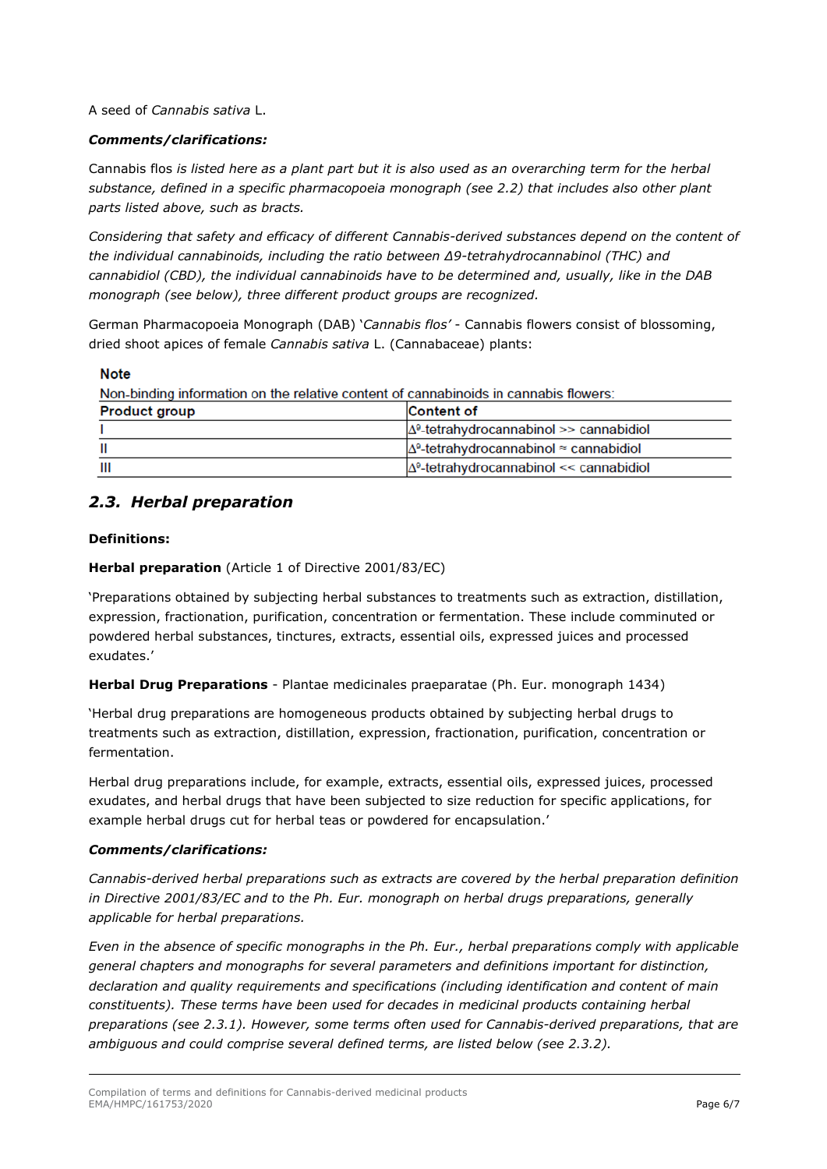A seed of *Cannabis sativa* L.

#### *Comments/clarifications:*

Cannabis flos *is listed here as a plant part but it is also used as an overarching term for the herbal substance, defined in a specific pharmacopoeia monograph (see 2.2) that includes also other plant parts listed above, such as bracts.*

*Considering that safety and efficacy of different Cannabis-derived substances depend on the content of the individual cannabinoids, including the ratio between Δ9-tetrahydrocannabinol (THC) and cannabidiol (CBD), the individual cannabinoids have to be determined and, usually, like in the DAB monograph (see below), three different product groups are recognized.*

German Pharmacopoeia Monograph (DAB) '*Cannabis flos'* - Cannabis flowers consist of blossoming, dried shoot apices of female *Cannabis sativa* L. (Cannabaceae) plants:

#### **Note**

Non-binding information on the relative content of cannabinoids in cannabis flowers:

| <b>Product group</b> | <b>Content of</b>                                      |
|----------------------|--------------------------------------------------------|
|                      | $\Delta^9$ -tetrahydrocannabinol >> cannabidiol        |
|                      | $\Delta^9$ -tetrahydrocannabinol $\approx$ cannabidiol |
| Ш                    | $\Delta^9$ -tetrahydrocannabinol << cannabidiol        |

## <span id="page-5-0"></span>*2.3. Herbal preparation*

#### **Definitions:**

**Herbal preparation** (Article 1 of Directive 2001/83/EC)

'Preparations obtained by subjecting herbal substances to treatments such as extraction, distillation, expression, fractionation, purification, concentration or fermentation. These include comminuted or powdered herbal substances, tinctures, extracts, essential oils, expressed juices and processed exudates.'

**Herbal Drug Preparations** - Plantae medicinales praeparatae (Ph. Eur. monograph 1434)

'Herbal drug preparations are homogeneous products obtained by subjecting herbal drugs to treatments such as extraction, distillation, expression, fractionation, purification, concentration or fermentation.

Herbal drug preparations include, for example, extracts, essential oils, expressed juices, processed exudates, and herbal drugs that have been subjected to size reduction for specific applications, for example herbal drugs cut for herbal teas or powdered for encapsulation.'

#### *Comments/clarifications:*

*Cannabis-derived herbal preparations such as extracts are covered by the herbal preparation definition in Directive 2001/83/EC and to the Ph. Eur. monograph on herbal drugs preparations, generally applicable for herbal preparations.*

*Even in the absence of specific monographs in the Ph. Eur., herbal preparations comply with applicable general chapters and monographs for several parameters and definitions important for distinction, declaration and quality requirements and specifications (including identification and content of main constituents). These terms have been used for decades in medicinal products containing herbal preparations (see 2.3.1). However, some terms often used for Cannabis-derived preparations, that are ambiguous and could comprise several defined terms, are listed below (see 2.3.2).*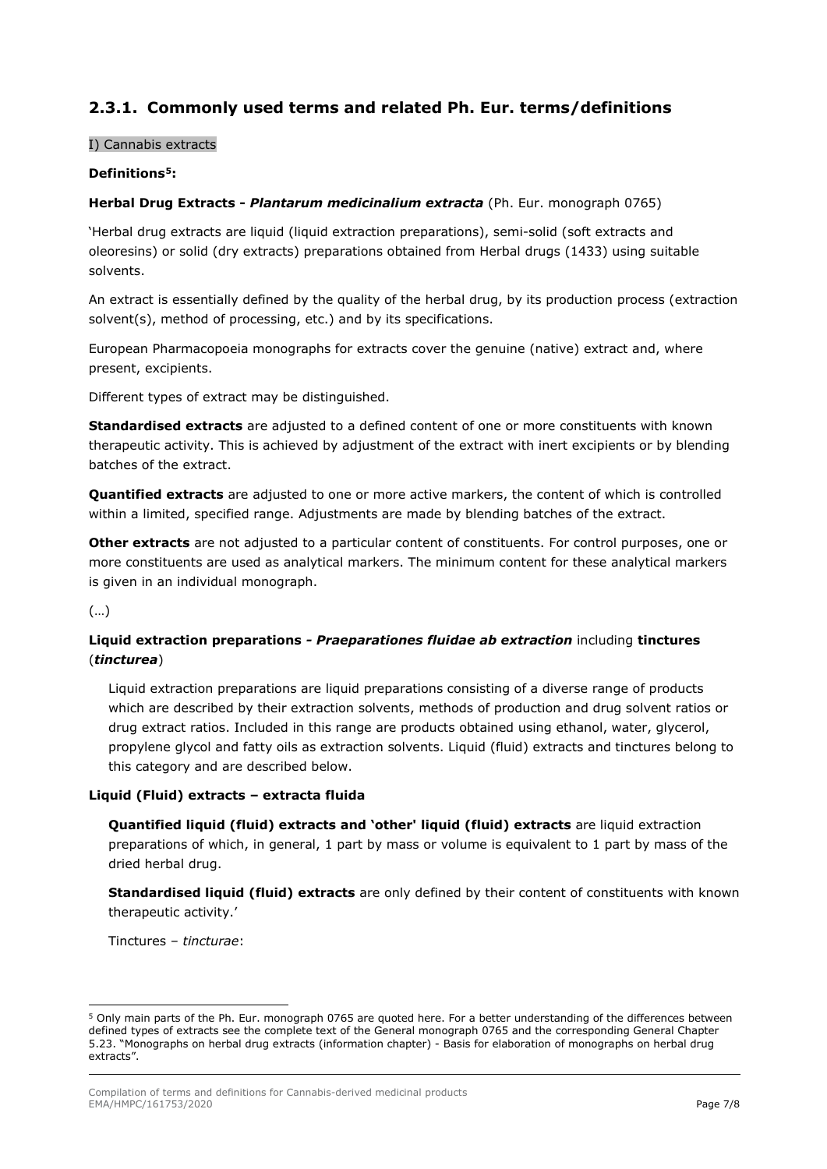## <span id="page-6-0"></span>**2.3.1. Commonly used terms and related Ph. Eur. terms/definitions**

#### I) Cannabis extracts

#### **Definitions[5:](#page-6-1)**

#### **Herbal Drug Extracts -** *Plantarum medicinalium extracta* (Ph. Eur. monograph 0765)

'Herbal drug extracts are liquid (liquid extraction preparations), semi-solid (soft extracts and oleoresins) or solid (dry extracts) preparations obtained from Herbal drugs (1433) using suitable solvents.

An extract is essentially defined by the quality of the herbal drug, by its production process (extraction solvent(s), method of processing, etc.) and by its specifications.

European Pharmacopoeia monographs for extracts cover the genuine (native) extract and, where present, excipients.

Different types of extract may be distinguished.

**Standardised extracts** are adjusted to a defined content of one or more constituents with known therapeutic activity. This is achieved by adjustment of the extract with inert excipients or by blending batches of the extract.

**Quantified extracts** are adjusted to one or more active markers, the content of which is controlled within a limited, specified range. Adjustments are made by blending batches of the extract.

**Other extracts** are not adjusted to a particular content of constituents. For control purposes, one or more constituents are used as analytical markers. The minimum content for these analytical markers is given in an individual monograph.

(…)

#### **Liquid extraction preparations** *- Praeparationes fluidae ab extraction* including **tinctures** (*tincturea*)

Liquid extraction preparations are liquid preparations consisting of a diverse range of products which are described by their extraction solvents, methods of production and drug solvent ratios or drug extract ratios. Included in this range are products obtained using ethanol, water, glycerol, propylene glycol and fatty oils as extraction solvents. Liquid (fluid) extracts and tinctures belong to this category and are described below.

#### **Liquid (Fluid) extracts – extracta fluida**

**Quantified liquid (fluid) extracts and 'other' liquid (fluid) extracts** are liquid extraction preparations of which, in general, 1 part by mass or volume is equivalent to 1 part by mass of the dried herbal drug.

**Standardised liquid (fluid) extracts** are only defined by their content of constituents with known therapeutic activity.'

Tinctures – *tincturae*:

<span id="page-6-1"></span><sup>5</sup> Only main parts of the Ph. Eur. monograph 0765 are quoted here. For a better understanding of the differences between defined types of extracts see the complete text of the General monograph 0765 and the corresponding General Chapter 5.23. "Monographs on herbal drug extracts (information chapter) - Basis for elaboration of monographs on herbal drug extracts".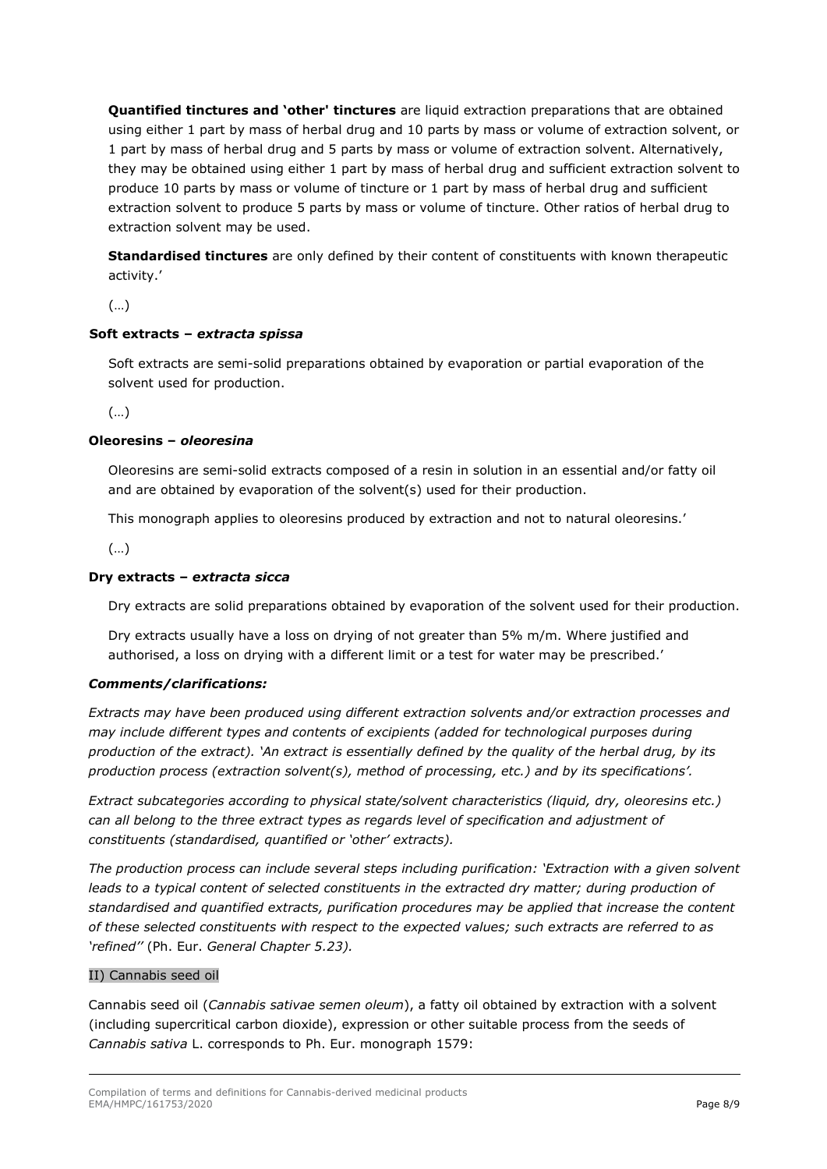**Quantified tinctures and 'other' tinctures** are liquid extraction preparations that are obtained using either 1 part by mass of herbal drug and 10 parts by mass or volume of extraction solvent, or 1 part by mass of herbal drug and 5 parts by mass or volume of extraction solvent. Alternatively, they may be obtained using either 1 part by mass of herbal drug and sufficient extraction solvent to produce 10 parts by mass or volume of tincture or 1 part by mass of herbal drug and sufficient extraction solvent to produce 5 parts by mass or volume of tincture. Other ratios of herbal drug to extraction solvent may be used.

**Standardised tinctures** are only defined by their content of constituents with known therapeutic activity.'

(…)

#### **Soft extracts –** *extracta spissa*

Soft extracts are semi-solid preparations obtained by evaporation or partial evaporation of the solvent used for production.

(…)

#### **Oleoresins –** *oleoresina*

Oleoresins are semi-solid extracts composed of a resin in solution in an essential and/or fatty oil and are obtained by evaporation of the solvent(s) used for their production.

This monograph applies to oleoresins produced by extraction and not to natural oleoresins.'

(…)

#### **Dry extracts –** *extracta sicca*

Dry extracts are solid preparations obtained by evaporation of the solvent used for their production.

Dry extracts usually have a loss on drying of not greater than 5% m/m. Where justified and authorised, a loss on drying with a different limit or a test for water may be prescribed.'

#### *Comments/clarifications:*

*Extracts may have been produced using different extraction solvents and/or extraction processes and may include different types and contents of excipients (added for technological purposes during production of the extract). 'An extract is essentially defined by the quality of the herbal drug, by its production process (extraction solvent(s), method of processing, etc.) and by its specifications'.* 

*Extract subcategories according to physical state/solvent characteristics (liquid, dry, oleoresins etc.) can all belong to the three extract types as regards level of specification and adjustment of constituents (standardised, quantified or 'other' extracts).*

*The production process can include several steps including purification: 'Extraction with a given solvent*  leads to a typical content of selected constituents in the extracted dry matter; during production of *standardised and quantified extracts, purification procedures may be applied that increase the content of these selected constituents with respect to the expected values; such extracts are referred to as 'refined''* (Ph. Eur. *General Chapter 5.23).*

#### II) Cannabis seed oil

Cannabis seed oil (*Cannabis sativae semen oleum*), a fatty oil obtained by extraction with a solvent (including supercritical carbon dioxide), expression or other suitable process from the seeds of *Cannabis sativa* L. corresponds to Ph. Eur. monograph 1579: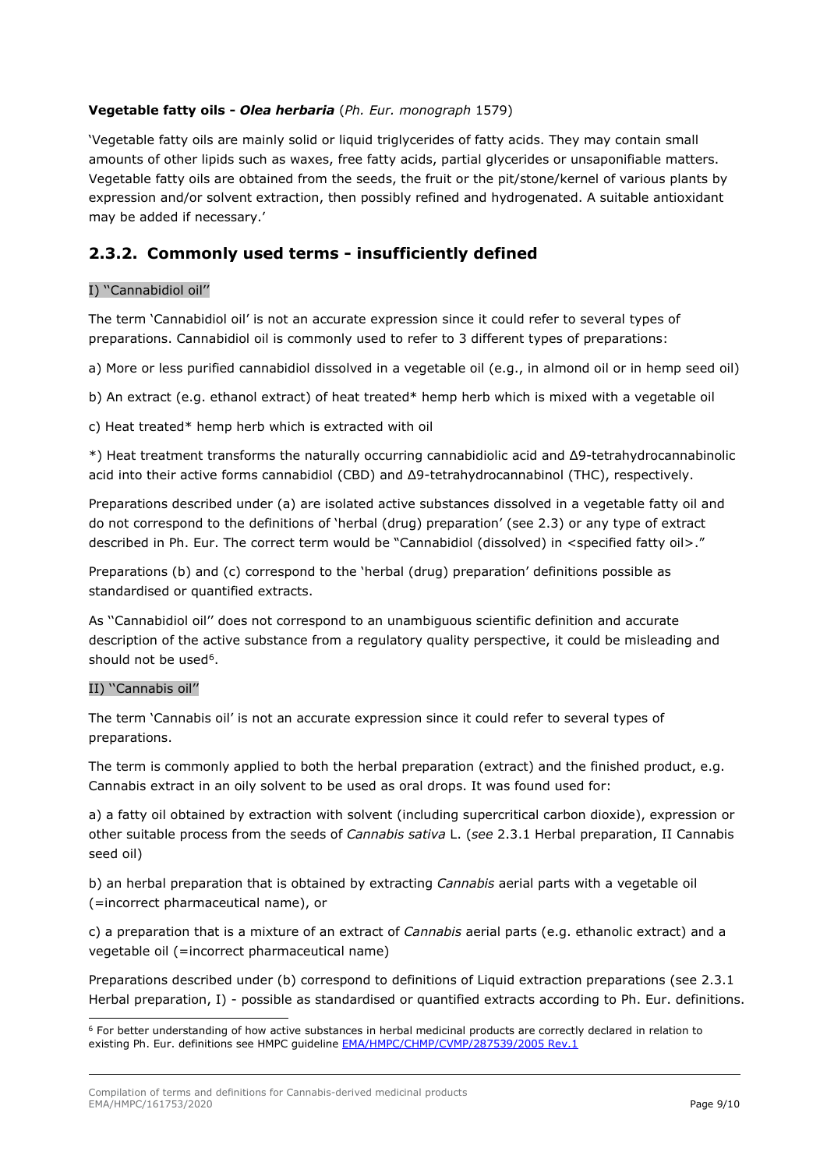#### **Vegetable fatty oils -** *Olea herbaria* (*Ph. Eur. monograph* 1579)

'Vegetable fatty oils are mainly solid or liquid triglycerides of fatty acids. They may contain small amounts of other lipids such as waxes, free fatty acids, partial glycerides or unsaponifiable matters. Vegetable fatty oils are obtained from the seeds, the fruit or the pit/stone/kernel of various plants by expression and/or solvent extraction, then possibly refined and hydrogenated. A suitable antioxidant may be added if necessary.'

## <span id="page-8-0"></span>**2.3.2. Commonly used terms - insufficiently defined**

#### I) ''Cannabidiol oil''

The term 'Cannabidiol oil' is not an accurate expression since it could refer to several types of preparations. Cannabidiol oil is commonly used to refer to 3 different types of preparations:

a) More or less purified cannabidiol dissolved in a vegetable oil (e.g., in almond oil or in hemp seed oil)

b) An extract (e.g. ethanol extract) of heat treated\* hemp herb which is mixed with a vegetable oil

c) Heat treated\* hemp herb which is extracted with oil

\*) Heat treatment transforms the naturally occurring cannabidiolic acid and Δ9-tetrahydrocannabinolic acid into their active forms cannabidiol (CBD) and Δ9-tetrahydrocannabinol (THC), respectively.

Preparations described under (a) are isolated active substances dissolved in a vegetable fatty oil and do not correspond to the definitions of 'herbal (drug) preparation' (see 2.3) or any type of extract described in Ph. Eur. The correct term would be "Cannabidiol (dissolved) in <specified fatty oil>."

Preparations (b) and (c) correspond to the 'herbal (drug) preparation' definitions possible as standardised or quantified extracts.

As ''Cannabidiol oil'' does not correspond to an unambiguous scientific definition and accurate description of the active substance from a regulatory quality perspective, it could be misleading and should not be used<sup>6</sup>.

#### II) ''Cannabis oil''

The term 'Cannabis oil' is not an accurate expression since it could refer to several types of preparations.

The term is commonly applied to both the herbal preparation (extract) and the finished product, e.g. Cannabis extract in an oily solvent to be used as oral drops. It was found used for:

a) a fatty oil obtained by extraction with solvent (including supercritical carbon dioxide), expression or other suitable process from the seeds of *Cannabis sativa* L. (*see* 2.3.1 Herbal preparation, II Cannabis seed oil)

b) an herbal preparation that is obtained by extracting *Cannabis* aerial parts with a vegetable oil (=incorrect pharmaceutical name), or

c) a preparation that is a mixture of an extract of *Cannabis* aerial parts (e.g. ethanolic extract) and a vegetable oil (=incorrect pharmaceutical name)

Preparations described under (b) correspond to definitions of Liquid extraction preparations (see 2.3.1 Herbal preparation, I) - possible as standardised or quantified extracts according to Ph. Eur. definitions.

<span id="page-8-1"></span> $6$  For better understanding of how active substances in herbal medicinal products are correctly declared in relation to existing Ph. Eur. definitions see HMPC quideline **EMA/HMPC/CHMP/CVMP/287539/2005 Rev.1**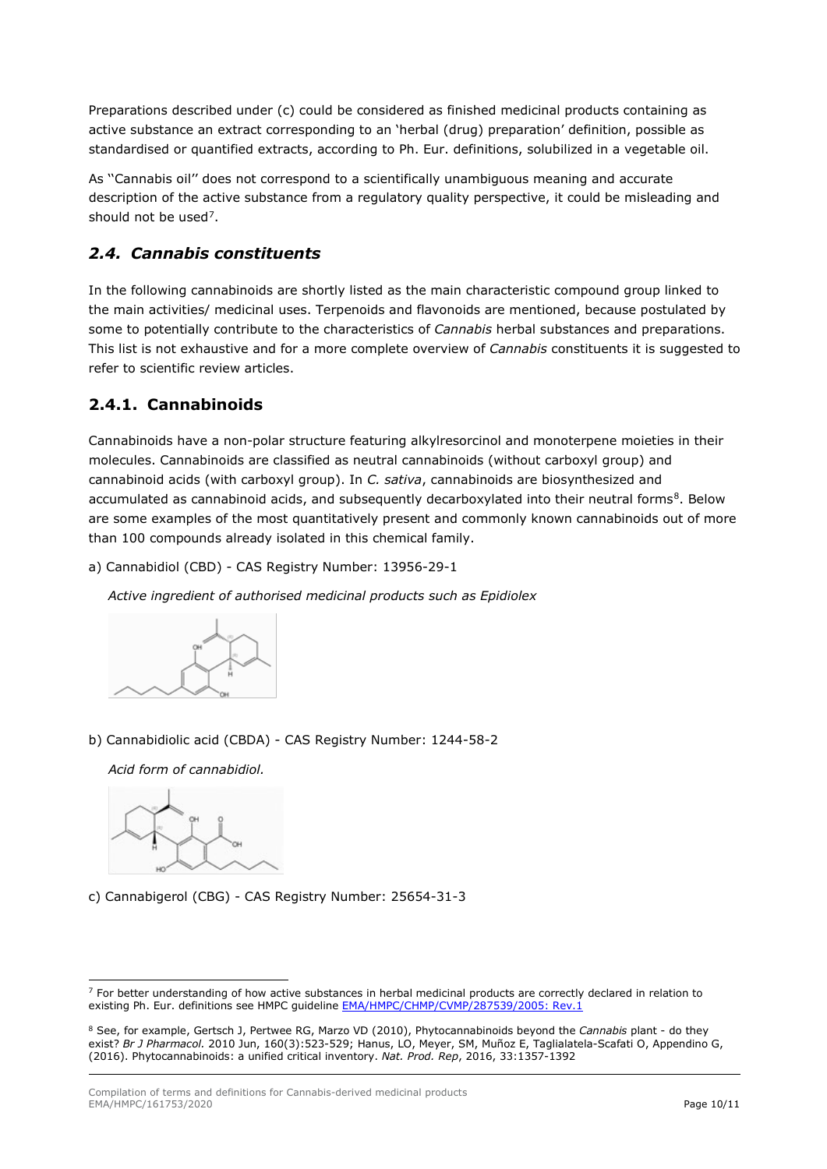Preparations described under (c) could be considered as finished medicinal products containing as active substance an extract corresponding to an 'herbal (drug) preparation' definition, possible as standardised or quantified extracts, according to Ph. Eur. definitions, solubilized in a vegetable oil.

As ''Cannabis oil'' does not correspond to a scientifically unambiguous meaning and accurate description of the active substance from a regulatory quality perspective, it could be misleading and should not be used<sup>7</sup>.

## <span id="page-9-0"></span>*2.4. Cannabis constituents*

In the following cannabinoids are shortly listed as the main characteristic compound group linked to the main activities/ medicinal uses. Terpenoids and flavonoids are mentioned, because postulated by some to potentially contribute to the characteristics of *Cannabis* herbal substances and preparations. This list is not exhaustive and for a more complete overview of *Cannabis* constituents it is suggested to refer to scientific review articles.

## <span id="page-9-1"></span>**2.4.1. Cannabinoids**

Cannabinoids have a non-polar structure featuring alkylresorcinol and monoterpene moieties in their molecules. Cannabinoids are classified as neutral cannabinoids (without carboxyl group) and cannabinoid acids (with carboxyl group). In *C. sativa*, cannabinoids are biosynthesized and accumulated as cannabinoid acids, and subsequently decarboxylated into their neutral forms<sup>[8](#page-9-3)</sup>. Below are some examples of the most quantitatively present and commonly known cannabinoids out of more than 100 compounds already isolated in this chemical family.

a) Cannabidiol (CBD) - CAS Registry Number: 13956-29-1

*Active ingredient of authorised medicinal products such as Epidiolex*



b) Cannabidiolic acid (CBDA) - CAS Registry Number: 1244-58-2

*Acid form of cannabidiol.*



c) Cannabigerol (CBG) - CAS Registry Number: 25654-31-3

<span id="page-9-2"></span> $7$  For better understanding of how active substances in herbal medicinal products are correctly declared in relation to existing Ph. Eur. definitions see HMPC guideline [EMA/HMPC/CHMP/CVMP/287539/2005: Rev.1](https://www.ema.europa.eu/en/documents/scientific-guideline/guideline-declaration-herbal-substances-herbal-preparations-herbal-medicinal-products/traditional-herbal-medicinal-products-spc_en.pdf)

<span id="page-9-3"></span><sup>8</sup> See, for example, Gertsch J, Pertwee RG, Marzo VD (2010), Phytocannabinoids beyond the *Cannabis* plant - do they exist? *Br J Pharmacol.* 2010 Jun, 160(3):523-529; Hanus, LO, Meyer, SM, Muñoz E, Taglialatela-Scafati O, Appendino G, (2016). Phytocannabinoids: a unified critical inventory. *Nat. Prod. Rep*, 2016, 33:1357-1392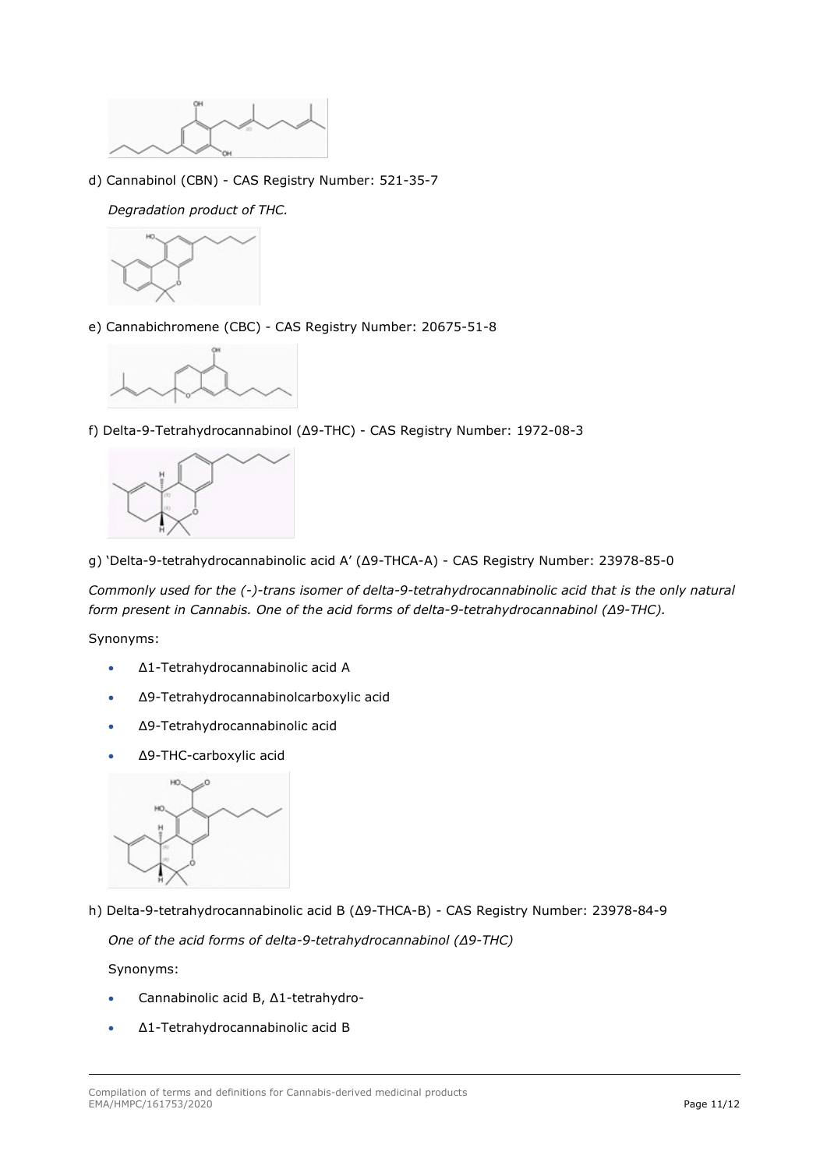

d) Cannabinol (CBN) - CAS Registry Number: 521-35-7

*Degradation product of THC.*



e) Cannabichromene (CBC) - CAS Registry Number: 20675-51-8



f) Delta-9-Tetrahydrocannabinol (Δ9-THC) - CAS Registry Number: 1972-08-3



g) 'Delta-9-tetrahydrocannabinolic acid A' (Δ9-THCA-A) - CAS Registry Number: 23978-85-0

*Commonly used for the (-)-trans isomer of delta-9-tetrahydrocannabinolic acid that is the only natural form present in Cannabis. One of the acid forms of delta-9-tetrahydrocannabinol (Δ9-THC).*

Synonyms:

- Δ1-Tetrahydrocannabinolic acid A
- Δ9-Tetrahydrocannabinolcarboxylic acid
- Δ9-Tetrahydrocannabinolic acid
- Δ9-THC-carboxylic acid



h) Delta-9-tetrahydrocannabinolic acid B (Δ9-THCA-B) - CAS Registry Number: 23978-84-9

*One of the acid forms of delta-9-tetrahydrocannabinol (Δ9-THC)*

Synonyms:

- Cannabinolic acid B, Δ1-tetrahydro-
- Δ1-Tetrahydrocannabinolic acid B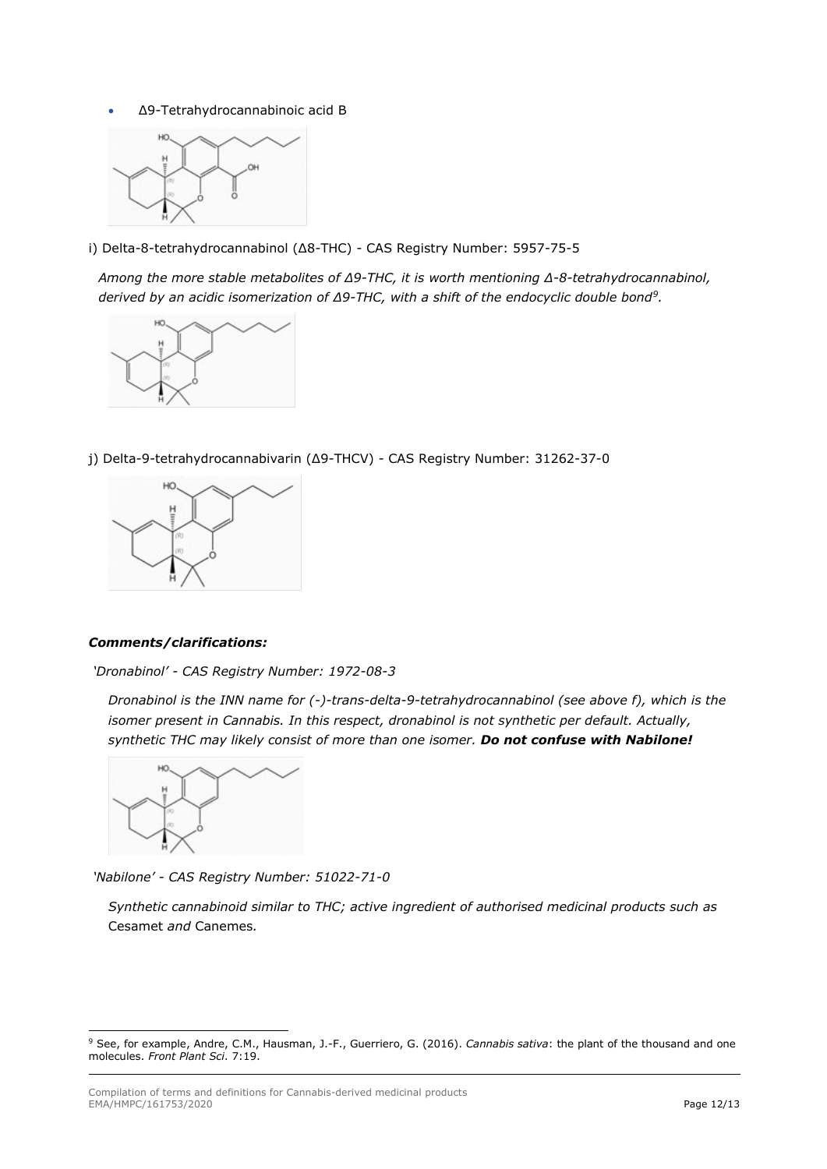• Δ9-Tetrahydrocannabinoic acid B



i) Delta-8-tetrahydrocannabinol (Δ8-THC) - CAS Registry Number: 5957-75-5

*Among the more stable metabolites of Δ9-THC, it is worth mentioning Δ-8-tetrahydrocannabinol, derived by an acidic isomerization of Δ9-THC, with a shift of the endocyclic double bond[9](#page-11-0).* 



j) Delta-9-tetrahydrocannabivarin (Δ9-THCV) - CAS Registry Number: 31262-37-0



#### *Comments/clarifications:*

*'Dronabinol' - CAS Registry Number: 1972-08-3*

*Dronabinol is the INN name for (-)-trans-delta-9-tetrahydrocannabinol (see above f), which is the isomer present in Cannabis. In this respect, dronabinol is not synthetic per default. Actually, synthetic THC may likely consist of more than one isomer. Do not confuse with Nabilone!*



*'Nabilone' - CAS Registry Number: 51022-71-0*

*Synthetic cannabinoid similar to THC; active ingredient of authorised medicinal products such as*  Cesamet *and* Canemes*.*

<span id="page-11-0"></span><sup>9</sup> See, for example, Andre, C.M., Hausman, J.-F., Guerriero, G. (2016). *Cannabis sativa*: the plant of the thousand and one molecules. *Front Plant Sci*. 7:19.